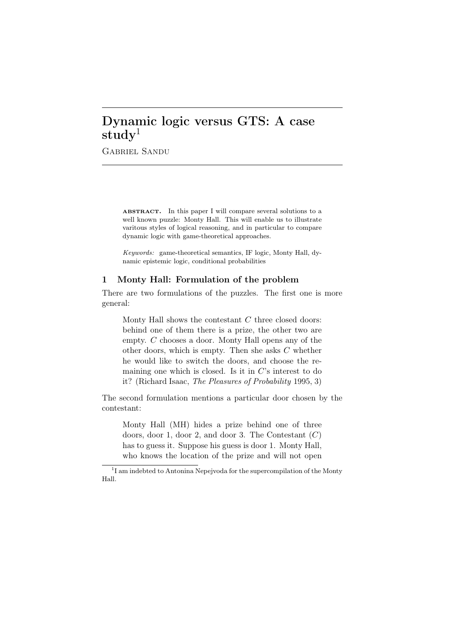# Dynamic logic versus GTS: A case  $\mathrm{\textbf{study}}^1$

Gabriel Sandu

ABSTRACT. In this paper I will compare several solutions to a well known puzzle: Monty Hall. This will enable us to illustrate varitous styles of logical reasoning, and in particular to compare dynamic logic with game-theoretical approaches.

*Keywords:* game-theoretical semantics, IF logic, Monty Hall, dynamic epistemic logic, conditional probabilities

# 1 Monty Hall: Formulation of the problem

There are two formulations of the puzzles. The first one is more general:

Monty Hall shows the contestant *C* three closed doors: behind one of them there is a prize, the other two are empty. *C* chooses a door. Monty Hall opens any of the other doors, which is empty. Then she asks *C* whether he would like to switch the doors, and choose the remaining one which is closed. Is it in *C*'s interest to do it? (Richard Isaac, *The Pleasures of Probability* 1995, 3)

The second formulation mentions a particular door chosen by the contestant:

Monty Hall (MH) hides a prize behind one of three doors, door 1, door 2, and door 3. The Contestant (*C*) has to guess it. Suppose his guess is door 1. Monty Hall, who knows the location of the prize and will not open

<sup>&</sup>lt;sup>1</sup>I am indebted to Antonina Nepejvoda for the supercompilation of the Monty Hall.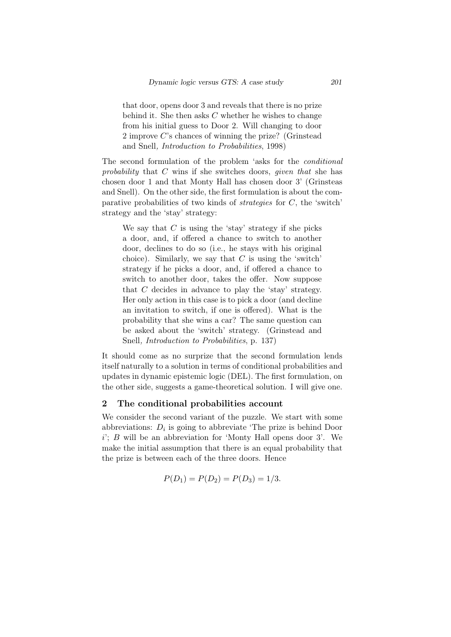that door, opens door 3 and reveals that there is no prize behind it. She then asks *C* whether he wishes to change from his initial guess to Door 2. Will changing to door 2 improve *C*'s chances of winning the prize? (Grinstead and Snell*, Introduction to Probabilities*, 1998)

The second formulation of the problem 'asks for the *conditional probability* that *C* wins if she switches doors, *given that* she has chosen door 1 and that Monty Hall has chosen door 3' (Grinsteas and Snell). On the other side, the first formulation is about the comparative probabilities of two kinds of *strategies* for *C*, the 'switch' strategy and the 'stay' strategy:

We say that *C* is using the 'stay' strategy if she picks a door, and, if offered a chance to switch to another door, declines to do so (i.e., he stays with his original choice). Similarly, we say that *C* is using the 'switch' strategy if he picks a door, and, if offered a chance to switch to another door, takes the offer. Now suppose that *C* decides in advance to play the 'stay' strategy. Her only action in this case is to pick a door (and decline an invitation to switch, if one is offered). What is the probability that she wins a car? The same question can be asked about the 'switch' strategy. (Grinstead and Snell*, Introduction to Probabilities*, p. 137)

It should come as no surprize that the second formulation lends itself naturally to a solution in terms of conditional probabilities and updates in dynamic epistemic logic (DEL). The first formulation, on the other side, suggests a game-theoretical solution. I will give one.

## 2 The conditional probabilities account

We consider the second variant of the puzzle. We start with some abbreviations:  $D_i$  is going to abbreviate 'The prize is behind Door *i*'; *B* will be an abbreviation for 'Monty Hall opens door 3'. We make the initial assumption that there is an equal probability that the prize is between each of the three doors. Hence

$$
P(D_1) = P(D_2) = P(D_3) = 1/3.
$$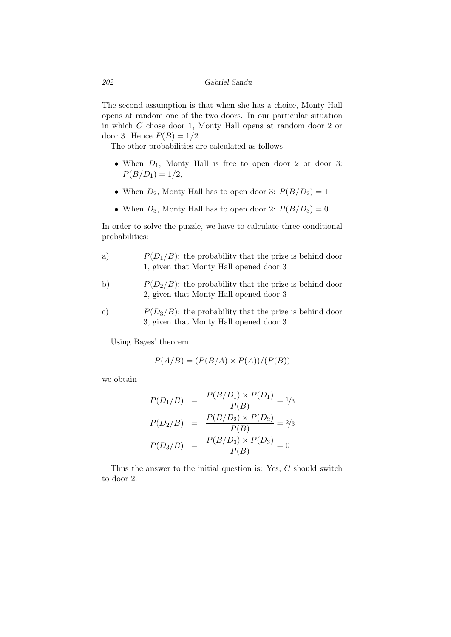The second assumption is that when she has a choice, Monty Hall opens at random one of the two doors. In our particular situation in which *C* chose door 1, Monty Hall opens at random door 2 or door 3. Hence  $P(B) = 1/2$ .

The other probabilities are calculated as follows.

- When  $D_1$ , Monty Hall is free to open door 2 or door 3:  $P(B/D_1) = 1/2,$
- When  $D_2$ , Monty Hall has to open door 3:  $P(B/D_2) = 1$
- When  $D_3$ , Monty Hall has to open door 2:  $P(B/D_3) = 0$ .

In order to solve the puzzle, we have to calculate three conditional probabilities:

- a)  $P(D_1/B)$ : the probability that the prize is behind door 1, given that Monty Hall opened door 3
- b)  $P(D_2/B)$ : the probability that the prize is behind door 2, given that Monty Hall opened door 3
- c)  $P(D_3/B)$ : the probability that the prize is behind door 3, given that Monty Hall opened door 3.

Using Bayes' theorem

$$
P(A/B) = (P(B/A) \times P(A))/(P(B))
$$

we obtain

$$
P(D_1/B) = \frac{P(B/D_1) \times P(D_1)}{P(B)} = \frac{1}{3}
$$
  
\n
$$
P(D_2/B) = \frac{P(B/D_2) \times P(D_2)}{P(B)} = \frac{2}{3}
$$
  
\n
$$
P(D_3/B) = \frac{P(B/D_3) \times P(D_3)}{P(B)} = 0
$$

Thus the answer to the initial question is: Yes, *C* should switch to door 2.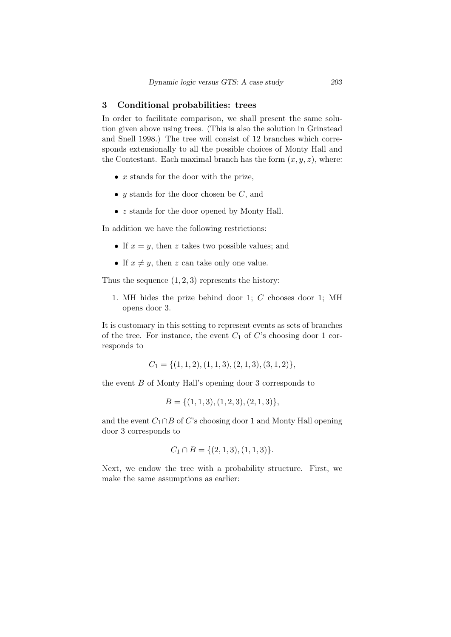### 3 Conditional probabilities: trees

In order to facilitate comparison, we shall present the same solution given above using trees. (This is also the solution in Grinstead and Snell 1998.) The tree will consist of 12 branches which corresponds extensionally to all the possible choices of Monty Hall and the Contestant. Each maximal branch has the form  $(x, y, z)$ , where:

- *• x* stands for the door with the prize,
- *• y* stands for the door chosen be *C*, and
- *• z* stands for the door opened by Monty Hall.

In addition we have the following restrictions:

- If  $x = y$ , then *z* takes two possible values; and
- If  $x \neq y$ , then *z* can take only one value.

Thus the sequence  $(1, 2, 3)$  represents the history:

1. MH hides the prize behind door 1; *C* chooses door 1; MH opens door 3.

It is customary in this setting to represent events as sets of branches of the tree. For instance, the event  $C_1$  of  $C$ 's choosing door 1 corresponds to

$$
C_1 = \{(1, 1, 2), (1, 1, 3), (2, 1, 3), (3, 1, 2)\},\
$$

the event *B* of Monty Hall's opening door 3 corresponds to

$$
B = \{(1, 1, 3), (1, 2, 3), (2, 1, 3)\},\
$$

and the event *C*1*∩B* of *C*'s choosing door 1 and Monty Hall opening door 3 corresponds to

$$
C_1 \cap B = \{ (2, 1, 3), (1, 1, 3) \}.
$$

Next, we endow the tree with a probability structure. First, we make the same assumptions as earlier: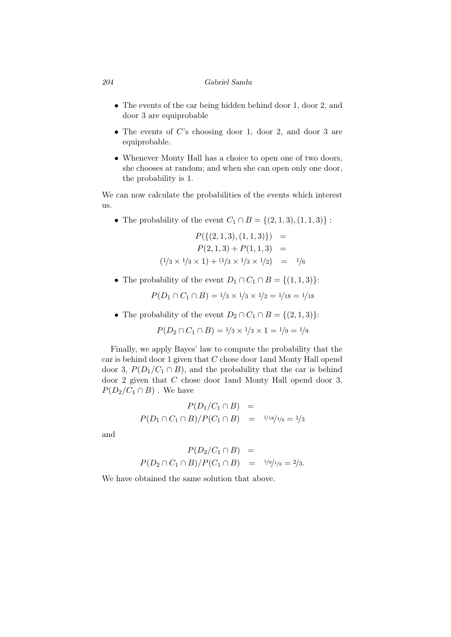- *•* The events of the car being hidden behind door 1, door 2, and door 3 are equiprobable
- *•* The events of *C*'s choosing door 1, door 2, and door 3 are equiprobable.
- *•* Whenever Monty Hall has a choice to open one of two doors, she chooses at random; and when she can open only one door, the probability is 1.

We can now calculate the probabilities of the events which interest us.

• The probability of the event  $C_1 \cap B = \{(2, 1, 3), (1, 1, 3)\}$ :

$$
P(\{(2,1,3),(1,1,3)\}) =
$$
  
\n
$$
P(2,1,3) + P(1,1,3) =
$$
  
\n
$$
(1/3 \times 1/3 \times 1) + (1/3 \times 1/3 \times 1/2) = 1/6
$$

• The probability of the event  $D_1 \cap C_1 \cap B = \{(1,1,3)\}$ :

$$
P(D_1 \cap C_1 \cap B) = \frac{1}{3} \times \frac{1}{3} \times \frac{1}{2} = \frac{1}{18} = \frac{1}{18}
$$

• The probability of the event  $D_2 \cap C_1 \cap B = \{(2, 1, 3)\}$ :

 $P(D_2 \cap C_1 \cap B) = \frac{1}{3} \times \frac{1}{3} \times 1 = \frac{1}{9} = \frac{1}{9}$ 

Finally, we apply Bayes' law to compute the probability that the car is behind door 1 given that *C* chose door 1and Monty Hall opend door 3,  $P(D_1/C_1 \cap B)$ , and the probability that the car is behind door 2 given that *C* chose door 1and Monty Hall opend door 3,  $P(D_2/C_1 \cap B)$ . We have

$$
P(D_1/C_1 \cap B) =
$$
  

$$
P(D_1 \cap C_1 \cap B)/P(C_1 \cap B) = \frac{1}{18/16} = \frac{1}{3}
$$

and

$$
P(D_2/C_1 \cap B) =
$$
  
 
$$
P(D_2 \cap C_1 \cap B) / P(C_1 \cap B) = \frac{1}{9} / \frac{1}{6} = \frac{2}{3}.
$$

We have obtained the same solution that above.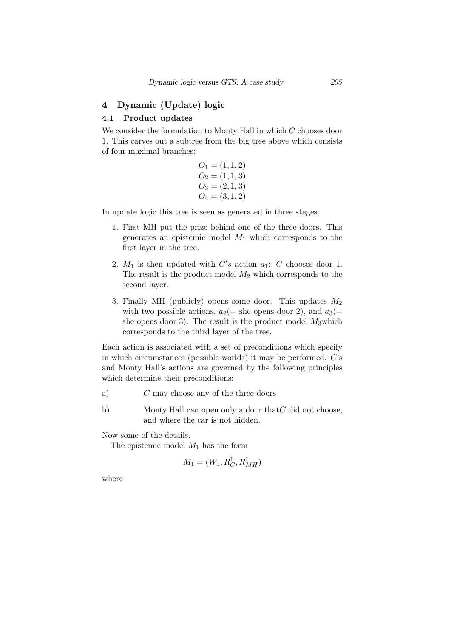# 4 Dynamic (Update) logic

#### 4.1 Product updates

We consider the formulation to Monty Hall in which *C* chooses door 1. This carves out a subtree from the big tree above which consists of four maximal branches:

$$
O1 = (1, 1, 2)\nO2 = (1, 1, 3)\nO3 = (2, 1, 3)\nO4 = (3, 1, 2)
$$

In update logic this tree is seen as generated in three stages.

- 1. First MH put the prize behind one of the three doors. This generates an epistemic model *M*<sup>1</sup> which corresponds to the first layer in the tree.
- 2.  $M_1$  is then updated with  $C's$  action  $a_1$ :  $C$  chooses door 1. The result is the product model *M*<sup>2</sup> which corresponds to the second layer.
- 3. Finally MH (publicly) opens some door. This updates *M*<sup>2</sup> with two possible actions,  $a_2(=$  she opens door 2), and  $a_3(=$ she opens door 3). The result is the product model  $M_3$ which corresponds to the third layer of the tree.

Each action is associated with a set of preconditions which specify in which circumstances (possible worlds) it may be performed. *C*'s and Monty Hall's actions are governed by the following principles which determine their preconditions:

- a) *C* may choose any of the three doors
- b) Monty Hall can open only a door that*C* did not choose, and where the car is not hidden.

Now some of the details.

The epistemic model *M*<sup>1</sup> has the form

$$
M_1 = (W_1, R_C^1, R_{MH}^1)
$$

where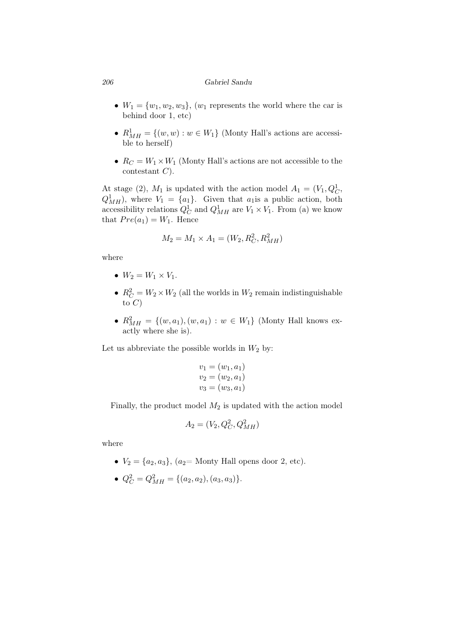- $W_1 = \{w_1, w_2, w_3\}$ ,  $(w_1$  represents the world where the car is behind door 1, etc)
- $R_{MH}^1 = \{(w, w) : w \in W_1\}$  (Monty Hall's actions are accessible to herself)
- $R_C = W_1 \times W_1$  (Monty Hall's actions are not accessible to the contestant *C*).

At stage (2),  $M_1$  is updated with the action model  $A_1 = (V_1, Q_C^1)$  $Q_{MH}^1$ , where  $V_1 = \{a_1\}$ . Given that  $a_1$  is a public action, both accessibility relations  $Q_C^1$  and  $Q_{MH}^1$  are  $V_1 \times V_1$ . From (a) we know that  $Pre(a_1) = W_1$ . Hence

$$
M_2 = M_1 \times A_1 = (W_2, R_C^2, R_{MH}^2)
$$

where

- $W_2 = W_1 \times V_1$ .
- $R_C^2 = W_2 \times W_2$  (all the worlds in  $W_2$  remain indistinguishable to *C*)
- $R_{MH}^2 = \{(w, a_1), (w, a_1) : w \in W_1\}$  (Monty Hall knows exactly where she is).

Let us abbreviate the possible worlds in  $W_2$  by:

$$
v_1 = (w_1, a_1)
$$
  
\n
$$
v_2 = (w_2, a_1)
$$
  
\n
$$
v_3 = (w_3, a_1)
$$

Finally, the product model *M*<sup>2</sup> is updated with the action model

$$
A_2 = (V_2, Q_C^2, Q_{MH}^2)
$$

where

- $V_2 = \{a_2, a_3\}$ ,  $(a_2 = \text{Monty Hall opens door 2, etc}).$
- $Q_C^2 = Q_{MH}^2 = \{(a_2, a_2), (a_3, a_3)\}.$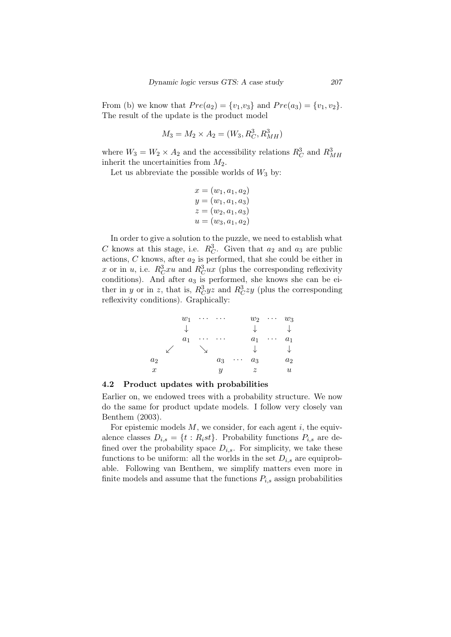From (b) we know that  $Pre(a_2) = \{v_1, v_3\}$  and  $Pre(a_3) = \{v_1, v_2\}$ . The result of the update is the product model

$$
M_3 = M_2 \times A_2 = (W_3, R_C^3, R_{MH}^3)
$$

where  $W_3 = W_2 \times A_2$  and the accessibility relations  $R_C^3$  and  $R_{MH}^3$ inherit the uncertainities from *M*2*.*

Let us abbreviate the possible worlds of  $W_3$  by:

$$
x = (w_1, a_1, a_2)
$$
  
\n
$$
y = (w_1, a_1, a_3)
$$
  
\n
$$
z = (w_2, a_1, a_3)
$$
  
\n
$$
u = (w_3, a_1, a_2)
$$

In order to give a solution to the puzzle, we need to establish what *C* knows at this stage, i.e.  $R_C^3$ . Given that  $a_2$  and  $a_3$  are public actions, *C* knows, after *a*<sup>2</sup> is performed, that she could be either in *x* or in *u*, i.e.  $R_C^3 x u$  and  $R_C^3 u x$  (plus the corresponding reflexivity conditions). And after *a*<sup>3</sup> is performed, she knows she can be either in *y* or in *z*, that is,  $R_C^3yz$  and  $R_C^3zy$  (plus the corresponding reflexivity conditions). Graphically:



4.2 Product updates with probabilities

Earlier on, we endowed trees with a probability structure. We now do the same for product update models. I follow very closely van Benthem (2003).

For epistemic models *M*, we consider, for each agent *i*, the equivalence classes  $D_{i,s} = \{t : R_i s t\}$ . Probability functions  $P_{i,s}$  are defined over the probability space  $D_{i,s}$ . For simplicity, we take these functions to be uniform: all the worlds in the set  $D_{i,s}$  are equiprobable. Following van Benthem, we simplify matters even more in finite models and assume that the functions  $P_{i,s}$  assign probabilities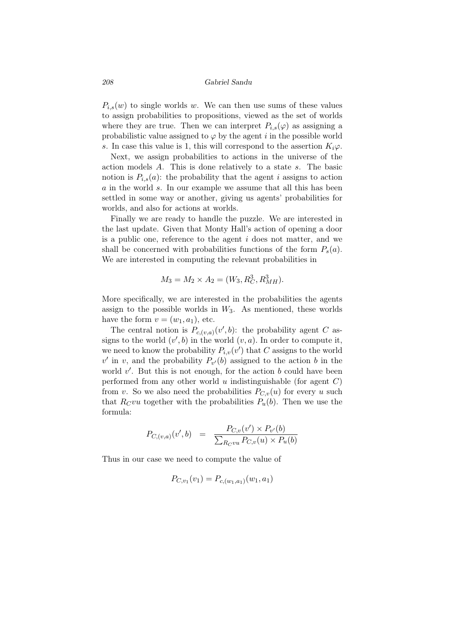$P_{i,s}(w)$  to single worlds *w*. We can then use sums of these values to assign probabilities to propositions, viewed as the set of worlds where they are true. Then we can interpret  $P_{i,s}(\varphi)$  as assigning a probabilistic value assigned to  $\varphi$  by the agent *i* in the possible world *s*. In case this value is 1, this will correspond to the assertion  $K_i\varphi$ .

Next, we assign probabilities to actions in the universe of the action models *A*. This is done relatively to a state *s*. The basic notion is  $P_{i,s}(a)$ : the probability that the agent *i* assigns to action *a* in the world *s*. In our example we assume that all this has been settled in some way or another, giving us agents' probabilities for worlds, and also for actions at worlds.

Finally we are ready to handle the puzzle. We are interested in the last update. Given that Monty Hall's action of opening a door is a public one, reference to the agent *i* does not matter, and we shall be concerned with probabilities functions of the form  $P_s(a)$ . We are interested in computing the relevant probabilities in

$$
M_3 = M_2 \times A_2 = (W_3, R_C^3, R_{MH}^3).
$$

More specifically, we are interested in the probabilities the agents assign to the possible worlds in *W*3. As mentioned, these worlds have the form  $v = (w_1, a_1)$ , etc.

The central notion is  $P_{c,(v,a)}(v',b)$ : the probability agent *C* assigns to the world  $(v', b)$  in the world  $(v, a)$ . In order to compute it, we need to know the probability  $P_{i,v}(v')$  that *C* assigns to the world  $v'$  in *v*, and the probability  $P_{v'}(b)$  assigned to the action *b* in the world  $v'$ . But this is not enough, for the action  $b$  could have been performed from any other world *u* indistinguishable (for agent *C*) from *v*. So we also need the probabilities  $P_{C,v}(u)$  for every *u* such that  $R_C v u$  together with the probabilities  $P_u(b)$ . Then we use the formula:

$$
P_{C,(v,a)}(v',b) = \frac{P_{C,v}(v') \times P_{v'}(b)}{\sum_{R_C v u} P_{C,v}(u) \times P_u(b)}
$$

Thus in our case we need to compute the value of

$$
P_{C,v_1}(v_1) = P_{c,(w_1,a_1)}(w_1,a_1)
$$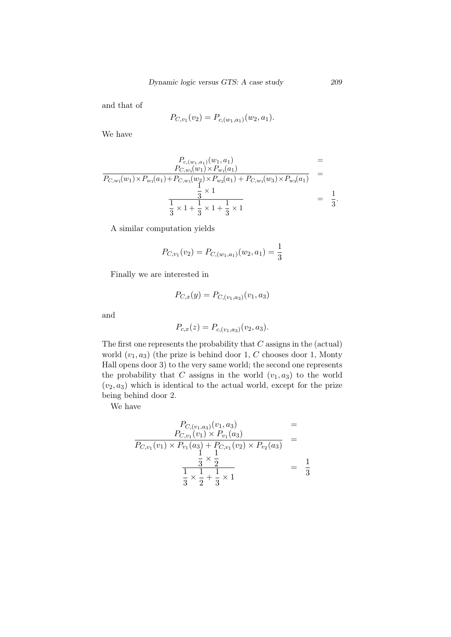and that of

$$
P_{C,v_1}(v_2) = P_{c,(w_1,a_1)}(w_2,a_1).
$$

We have

$$
P_{C,(w_1,a_1)}(w_1, a_1) = P_{C,w_1}(w_1) \times P_{w_1}(a_1)
$$
  
\n
$$
P_{C,w_1}(w_1) \times P_{w_1}(a_1) + P_{C,w_1}(w_2) \times P_{w_2}(a_1) + P_{C,w_1}(w_3) \times P_{w_3}(a_1) = \frac{1}{3} \times 1
$$
  
\n
$$
\frac{1}{3} \times 1 + \frac{1}{3} \times 1 + \frac{1}{3} \times 1
$$
  
\n
$$
= \frac{1}{3}.
$$

A similar computation yields

$$
P_{C,v_1}(v_2) = P_{C,(w_1,a_1)}(w_2,a_1) = \frac{1}{3}
$$

Finally we are interested in

$$
P_{C,x}(y) = P_{C,(v_1,a_3)}(v_1,a_3)
$$

and

$$
P_{c,x}(z) = P_{c,(v_1,a_3)}(v_2,a_3).
$$

The first one represents the probability that *C* assigns in the (actual) world  $(v_1, a_3)$  (the prize is behind door 1, *C* chooses door 1, Monty Hall opens door 3) to the very same world; the second one represents the probability that *C* assigns in the world  $(v_1, a_3)$  to the world  $(v_2, a_3)$  which is identical to the actual world, except for the prize being behind door 2.

We have

$$
P_{C,(v_1,a_3)}(v_1, a_3) =
$$
  
\n
$$
\frac{P_{C,v_1}(v_1) \times P_{v_1}(a_3)}{P_{C,v_1}(v_1) \times P_{v_1}(a_3) + P_{C,v_1}(v_2) \times P_{v_2}(a_3)} =
$$
  
\n
$$
\frac{\frac{1}{3} \times \frac{1}{2}}{\frac{1}{3} \times \frac{1}{2} + \frac{1}{3} \times 1} = \frac{1}{3}
$$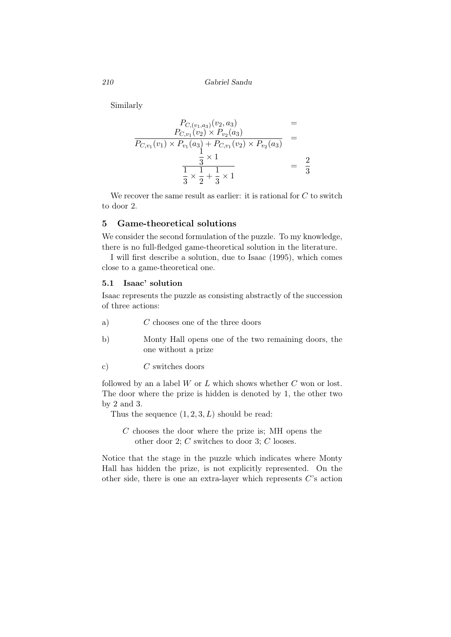Similarly

$$
P_{C,(v_1,a_3)}(v_2, a_3) =
$$
  
\n
$$
P_{C,v_1}(v_2) \times P_{v_2}(a_3)
$$
  
\n
$$
P_{C,v_1}(v_1) \times P_{v_1}(a_3) + P_{C,v_1}(v_2) \times P_{v_2}(a_3) =
$$
  
\n
$$
\frac{1}{3} \times 1
$$
  
\n
$$
\frac{1}{3} \times \frac{1}{2} + \frac{1}{3} \times 1 = \frac{2}{3}
$$

We recover the same result as earlier: it is rational for *C* to switch to door 2.

# 5 Game-theoretical solutions

We consider the second formulation of the puzzle. To my knowledge, there is no full-fledged game-theoretical solution in the literature.

I will first describe a solution, due to Isaac (1995), which comes close to a game-theoretical one.

### 5.1 Isaac' solution

Isaac represents the puzzle as consisting abstractly of the succession of three actions:

- a) *C* chooses one of the three doors
- b) Monty Hall opens one of the two remaining doors, the one without a prize
- c) *C* switches doors

followed by an a label *W* or *L* which shows whether *C* won or lost. The door where the prize is hidden is denoted by 1, the other two by 2 and 3.

Thus the sequence  $(1, 2, 3, L)$  should be read:

*C* chooses the door where the prize is; MH opens the other door 2; *C* switches to door 3; *C* looses.

Notice that the stage in the puzzle which indicates where Monty Hall has hidden the prize, is not explicitly represented. On the other side, there is one an extra-layer which represents *C*'s action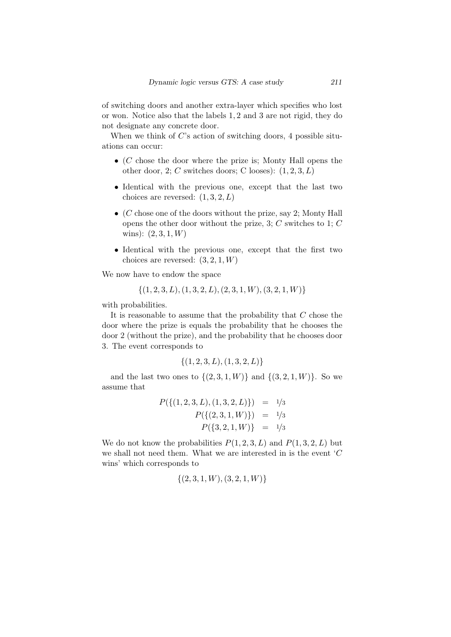of switching doors and another extra-layer which specifies who lost or won. Notice also that the labels 1*,* 2 and 3 are not rigid, they do not designate any concrete door.

When we think of *C*'s action of switching doors, 4 possible situations can occur:

- *•* (*C* chose the door where the prize is; Monty Hall opens the other door, 2; *C* switches doors; *C* looses):  $(1, 2, 3, L)$
- *•* Identical with the previous one, except that the last two choices are reversed:  $(1, 3, 2, L)$
- *•* (*C* chose one of the doors without the prize, say 2; Monty Hall opens the other door without the prize, 3; *C* switches to 1; *C* wins): (2*,* 3*,* 1*, W*)
- *•* Identical with the previous one, except that the first two choices are reversed:  $(3, 2, 1, W)$

We now have to endow the space

$$
\{(1,2,3,L),(1,3,2,L),(2,3,1,W),(3,2,1,W)\}
$$

with probabilities.

It is reasonable to assume that the probability that *C* chose the door where the prize is equals the probability that he chooses the door 2 (without the prize), and the probability that he chooses door 3. The event corresponds to

$$
\{(1,2,3,L),(1,3,2,L)\}
$$

and the last two ones to  $\{(2, 3, 1, W)\}\$  and  $\{(3, 2, 1, W)\}\$ . So we assume that

$$
P({(1, 2, 3, L), (1, 3, 2, L)}) = 1/3
$$
  
\n
$$
P({(2, 3, 1, W)}) = 1/3
$$
  
\n
$$
P({3, 2, 1, W}) = 1/3
$$

We do not know the probabilities  $P(1, 2, 3, L)$  and  $P(1, 3, 2, L)$  but we shall not need them. What we are interested in is the event '*C* wins' which corresponds to

$$
\{(2,3,1,W),(3,2,1,W)\}
$$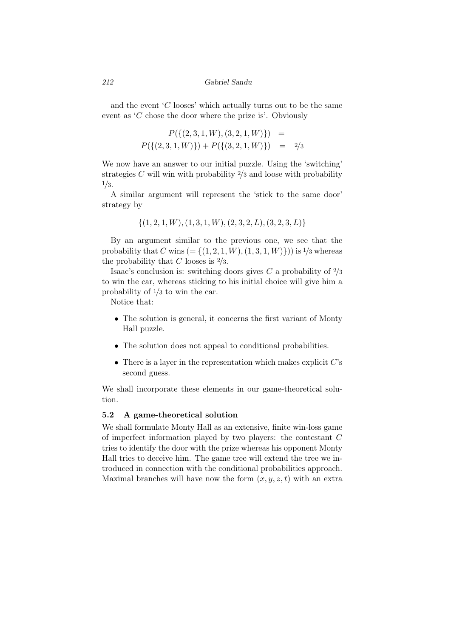and the event  $'C$  looses' which actually turns out to be the same event as '*C* chose the door where the prize is'. Obviously

$$
P(\{(2,3,1,W),(3,2,1,W)\}) = P(\{(2,3,1,W)\}) + P(\{(3,2,1,W)\}) = 2/3
$$

We now have an answer to our initial puzzle. Using the 'switching' strategies *C* will win with probability 2*/*3 and loose with probability 1*/*3.

A similar argument will represent the 'stick to the same door' strategy by

$$
\{(1,2,1,W), (1,3,1,W), (2,3,2,L), (3,2,3,L)\}
$$

By an argument similar to the previous one, we see that the probability that *C* wins  $( = \{(1, 2, 1, W), (1, 3, 1, W)\})$  is  $\frac{1}{3}$  whereas the probability that *C* looses is 2*/*3*.*

Isaac's conclusion is: switching doors gives *C* a probability of 2*/*3 to win the car, whereas sticking to his initial choice will give him a probability of 1*/*3 to win the car.

Notice that:

- The solution is general, it concerns the first variant of Monty Hall puzzle.
- The solution does not appeal to conditional probabilities.
- *•* There is a layer in the representation which makes explicit *C*'s second guess.

We shall incorporate these elements in our game-theoretical solution.

## 5.2 A game-theoretical solution

We shall formulate Monty Hall as an extensive, finite win-loss game of imperfect information played by two players: the contestant *C* tries to identify the door with the prize whereas his opponent Monty Hall tries to deceive him. The game tree will extend the tree we introduced in connection with the conditional probabilities approach. Maximal branches will have now the form  $(x, y, z, t)$  with an extra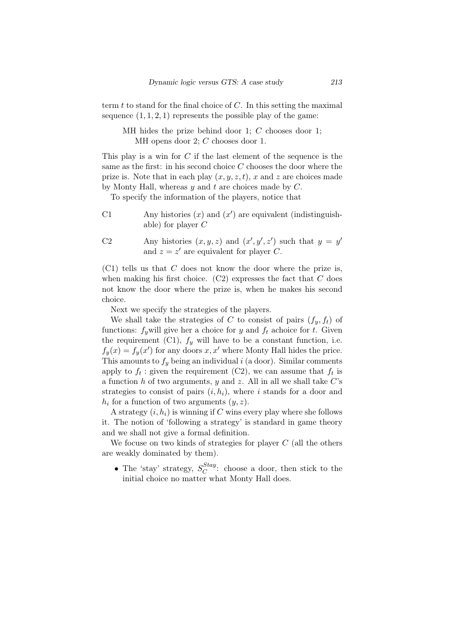term *t* to stand for the final choice of *C*. In this setting the maximal sequence  $(1, 1, 2, 1)$  represents the possible play of the game:

MH hides the prize behind door 1; *C* chooses door 1; MH opens door 2; *C* chooses door 1.

This play is a win for *C* if the last element of the sequence is the same as the first: in his second choice *C* chooses the door where the prize is. Note that in each play  $(x, y, z, t)$ , x and z are choices made by Monty Hall, whereas *y* and *t* are choices made by *C*.

To specify the information of the players, notice that

- C1 Any histories  $(x)$  and  $(x')$  are equivalent (indistinguishable) for player *C*
- C2 Any histories  $(x, y, z)$  and  $(x', y', z')$  such that  $y = y'$ and  $z = z'$  are equivalent for player *C*.

(C1) tells us that *C* does not know the door where the prize is, when making his first choice.  $(C2)$  expresses the fact that  $C$  does not know the door where the prize is, when he makes his second choice.

Next we specify the strategies of the players.

We shall take the strategies of *C* to consist of pairs  $(f_y, f_t)$  of functions:  $f_y$  will give her a choice for *y* and  $f_t$  achoice for *t*. Given the requirement (C1),  $f_y$  will have to be a constant function, i.e.  $f_y(x) = f_y(x')$  for any doors  $x, x'$  where Monty Hall hides the price. This amounts to  $f_y$  being an individual *i* (a door). Similar comments apply to  $f_t$ : given the requirement (C2), we can assume that  $f_t$  is a function *h* of two arguments, *y* and *z*. All in all we shall take *C*'s strategies to consist of pairs  $(i, h_i)$ , where *i* stands for a door and  $h_i$  for a function of two arguments  $(y, z)$ .

A strategy  $(i, h_i)$  is winning if C wins every play where she follows it. The notion of 'following a strategy' is standard in game theory and we shall not give a formal definition.

We focuse on two kinds of strategies for player *C* (all the others are weakly dominated by them).

• The 'stay' strategy,  $S_C^{Stay}$  $C^{stay}$ : choose a door, then stick to the initial choice no matter what Monty Hall does.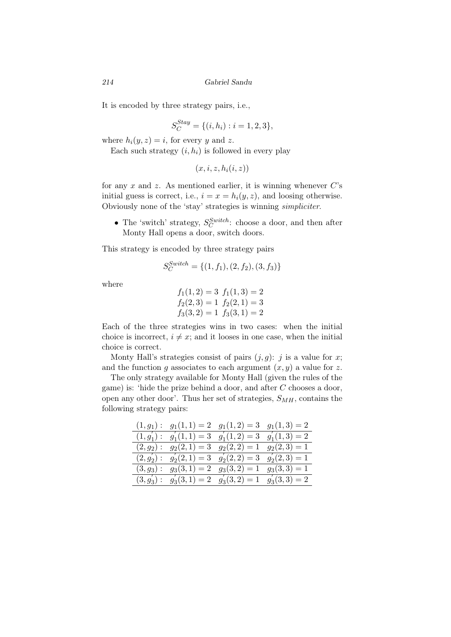It is encoded by three strategy pairs, i.e.,

$$
S_C^{Stay} = \{(i, h_i) : i = 1, 2, 3\},\
$$

where  $h_i(y, z) = i$ , for every *y* and *z*.

Each such strategy  $(i, h_i)$  is followed in every play

 $(x, i, z, h_i(i, z))$ 

for any *x* and *z*. As mentioned earlier, it is winning whenever *C*'s initial guess is correct, i.e.,  $i = x = h_i(y, z)$ , and loosing otherwise. Obviously none of the 'stay' strategies is winning *simpliciter*.

• The 'switch' strategy,  $S_C^{Switch}$ : choose a door, and then after Monty Hall opens a door, switch doors.

This strategy is encoded by three strategy pairs

$$
S_C^{Switch} = \{(1, f_1), (2, f_2), (3, f_3)\}
$$

where

$$
f_1(1,2) = 3 \ f_1(1,3) = 2
$$
  

$$
f_2(2,3) = 1 \ f_2(2,1) = 3
$$
  

$$
f_3(3,2) = 1 \ f_3(3,1) = 2
$$

Each of the three strategies wins in two cases: when the initial choice is incorrect,  $i \neq x$ ; and it looses in one case, when the initial choice is correct.

Monty Hall's strategies consist of pairs  $(j, g)$ : *j* is a value for *x*; and the function  $g$  associates to each argument  $(x, y)$  a value for  $z$ .

The only strategy available for Monty Hall (given the rules of the game) is: 'hide the prize behind a door, and after *C* chooses a door, open any other door'. Thus her set of strategies, *SMH*, contains the following strategy pairs:

| $(1, g_1):$  | $g_1(1,1)=2$                                   | $g_1(1,2) = 3$ $g_1(1,3) = 2$ |               |
|--------------|------------------------------------------------|-------------------------------|---------------|
|              | $(1, g'_1): g'_1(1,1) = 3$                     | $g'_1(1,2)=3$                 | $g'_1(1,3)=2$ |
| $(2,g_2):$   | $g_2(2,1)=3$                                   | $g_2(2,2)=1$                  | $g_2(2,3)=1$  |
| $(2, g'_2):$ | $g'_2(2,1)=3$                                  | $g'_2(2,2)=3$                 | $g'_2(2,3)=1$ |
| $(3, g_3):$  | $g_3(3,1)=2$                                   | $g_3(3,2)=1$                  | $g_3(3,3)=1$  |
|              | $(g, g'_3): g'_3(3,1) = 2 \quad g'_3(3,2) = 1$ |                               | $g'_3(3,3)=2$ |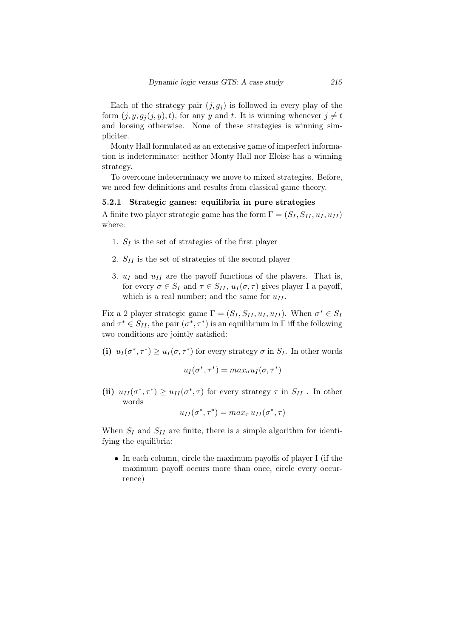Each of the strategy pair  $(j, g_j)$  is followed in every play of the form  $(j, y, g_j(j, y), t)$ , for any *y* and *t*. It is winning whenever  $j \neq t$ and loosing otherwise. None of these strategies is winning simpliciter.

Monty Hall formulated as an extensive game of imperfect information is indeterminate: neither Monty Hall nor Eloise has a winning strategy.

To overcome indeterminacy we move to mixed strategies. Before, we need few definitions and results from classical game theory.

## 5.2.1 Strategic games: equilibria in pure strategies

A finite two player strategic game has the form  $\Gamma = (S_I, S_{II}, u_I, u_{II})$ where:

- 1. *S<sup>I</sup>* is the set of strategies of the first player
- 2. *SII* is the set of strategies of the second player
- 3. *u<sup>I</sup>* and *uII* are the payoff functions of the players. That is, for every  $\sigma \in S_I$  and  $\tau \in S_{II}$ ,  $u_I(\sigma, \tau)$  gives player I a payoff, which is a real number; and the same for  $u_{II}$ .

Fix a 2 player strategic game  $\Gamma = (S_I, S_{II}, u_I, u_{II})$ . When  $\sigma^* \in S_I$ and  $\tau^* \in S_{II}$ , the pair  $(\sigma^*, \tau^*)$  is an equilibrium in  $\Gamma$  iff the following two conditions are jointly satisfied:

(i)  $u_I(\sigma^*, \tau^*) \geq u_I(\sigma, \tau^*)$  for every strategy  $\sigma$  in  $S_I$ . In other words

$$
u_I(\sigma^*, \tau^*) = max_{\sigma} u_I(\sigma, \tau^*)
$$

(ii)  $u_{II}(\sigma^*, \tau^*) \geq u_{II}(\sigma^*, \tau)$  for every strategy  $\tau$  in  $S_{II}$ . In other words

$$
u_{II}(\sigma^*,\tau^*) = max_{\tau} u_{II}(\sigma^*,\tau)
$$

When  $S_I$  and  $S_{II}$  are finite, there is a simple algorithm for identifying the equilibria:

• In each column, circle the maximum payoffs of player I (if the maximum payoff occurs more than once, circle every occurrence)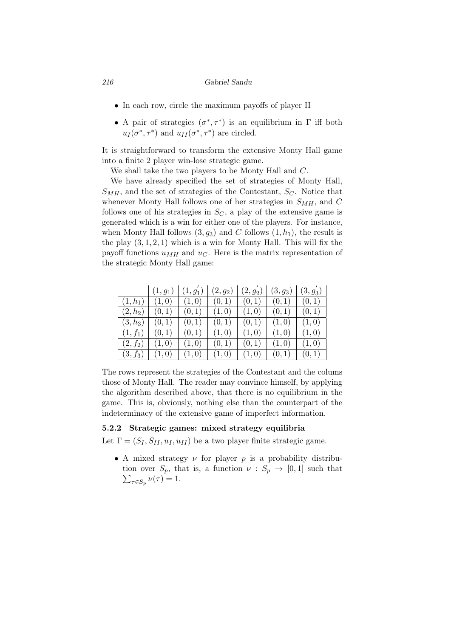- In each row, circle the maximum payoffs of player II
- A pair of strategies  $(\sigma^*, \tau^*)$  is an equilibrium in  $\Gamma$  iff both  $u_I(\sigma^*, \tau^*)$  and  $u_{II}(\sigma^*, \tau^*)$  are circled.

It is straightforward to transform the extensive Monty Hall game into a finite 2 player win-lose strategic game.

We shall take the two players to be Monty Hall and *C*.

We have already specified the set of strategies of Monty Hall,  $S_{MH}$ , and the set of strategies of the Contestant,  $S_C$ . Notice that whenever Monty Hall follows one of her strategies in *SMH*, and *C* follows one of his strategies in *SC*, a play of the extensive game is generated which is a win for either one of the players. For instance, when Monty Hall follows  $(3, g_3)$  and *C* follows  $(1, h_1)$ , the result is the play  $(3, 1, 2, 1)$  which is a win for Monty Hall. This will fix the payoff functions  $u_{MH}$  and  $u_C$ . Here is the matrix representation of the strategic Monty Hall game:

|                   |                                       | $(1, g_1)   (1, g'_1)   (2, g_2)$ |       |       | $ (2, g'_2)  (3, g_3)  (3, g'_3)$ |       |
|-------------------|---------------------------------------|-----------------------------------|-------|-------|-----------------------------------|-------|
| $(1,h_1)$ $(1,0)$ |                                       | (1,0)                             | (0,1) | (0,1) | (0,1)                             | (0,1) |
|                   | $(2,h_2)$ $(0,1)$ $(0,1)$             |                                   | (1,0) | (1,0) | (0,1)                             | (0,1) |
| $(3,h_3)$         | (0,1)                                 | (0,1)                             | (0,1) | (0,1) | (1,0)                             | (1,0) |
| $(1, f_1)$        | (0,1)                                 | (0,1)                             | (1,0) | (1,0) | (1,0)                             | (1,0) |
| $(2, f_2)$        | (1,0)                                 | (1,0)                             | (0,1) | (0,1) | (1,0)                             | (1,0) |
|                   | $(3, f_3)$ $(1, 0)$ $(1, 0)$ $(1, 0)$ |                                   |       | (1,0) | $(0,1)$ $(0,1)$                   |       |

The rows represent the strategies of the Contestant and the colums those of Monty Hall. The reader may convince himself, by applying the algorithm described above, that there is no equilibrium in the game. This is, obviously, nothing else than the counterpart of the indeterminacy of the extensive game of imperfect information.

### 5.2.2 Strategic games: mixed strategy equilibria

Let  $\Gamma = (S_I, S_{II}, u_I, u_{II})$  be a two player finite strategic game.

*•* A mixed strategy *ν* for player *p* is a probability distribution over  $S_p$ , that is, a function  $\nu : S_p \to [0,1]$  such that  $\sum_{\tau \in S_p} \nu(\tau) = 1.$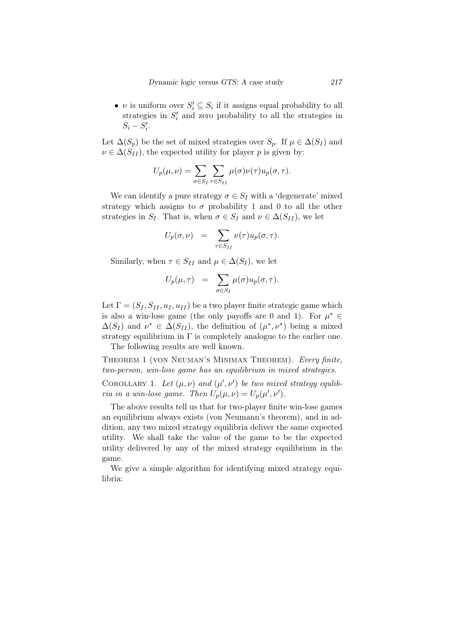**•**  $\nu$  is uniform over  $S'_i \subseteq S_i$  if it assigns equal probability to all strategies in  $S'_{i}$  and zero probability to all the strategies in  $S_i - S'_i$ .

Let  $\Delta(S_p)$  be the set of mixed strategies over  $S_p$ . If  $\mu \in \Delta(S_I)$  and  $\nu \in \Delta(S_{II})$ , the expected utility for player *p* is given by:

$$
U_p(\mu,\nu) = \sum_{\sigma \in S_I} \sum_{\tau \in S_{II}} \mu(\sigma) \nu(\tau) u_p(\sigma,\tau).
$$

We can identify a pure strategy  $\sigma \in S_I$  with a 'degenerate' mixed strategy which assigns to  $\sigma$  probability 1 and 0 to all the other strategies in *S*<sub>*I*</sub>. That is, when  $\sigma \in S_I$  and  $\nu \in \Delta(S_{II})$ , we let

$$
U_p(\sigma,\nu) = \sum_{\tau \in S_{II}} \nu(\tau) u_p(\sigma,\tau).
$$

Similarly, when  $\tau \in S_{II}$  and  $\mu \in \Delta(S_I)$ , we let

$$
U_p(\mu,\tau) = \sum_{\sigma \in S_I} \mu(\sigma) u_p(\sigma,\tau).
$$

Let  $\Gamma = (S_I, S_{II}, u_I, u_{II})$  be a two player finite strategic game which is also a win-lose game (the only payoffs are 0 and 1). For  $\mu^* \in$  $\Delta(S_I)$  and  $\nu^* \in \Delta(S_{II})$ , the definition of  $(\mu^*, \nu^*)$  being a mixed strategy equilibrium in  $\Gamma$  is completely analogue to the earlier one.

The following results are well known.

Theorem 1 (von Neuman's Minimax Theorem). *Every finite, two-person, win-lose game has an equilibrium in mixed strategies.*

COROLLARY 1. Let  $(\mu, \nu)$  and  $(\mu', \nu')$  be two mixed strategy equlib*ria in a win-lose game. Then*  $U_p(\mu, \nu) = U_p(\mu', \nu').$ 

The above results tell us that for two-player finite win-lose games an equilibrium always exists (von Neumann's theorem), and in addition, any two mixed strategy equilibria deliver the same expected utility. We shall take the value of the game to be the expected utility delivered by any of the mixed strategy equilibrium in the game.

We give a simple algorithm for identifying mixed strategy equilibria: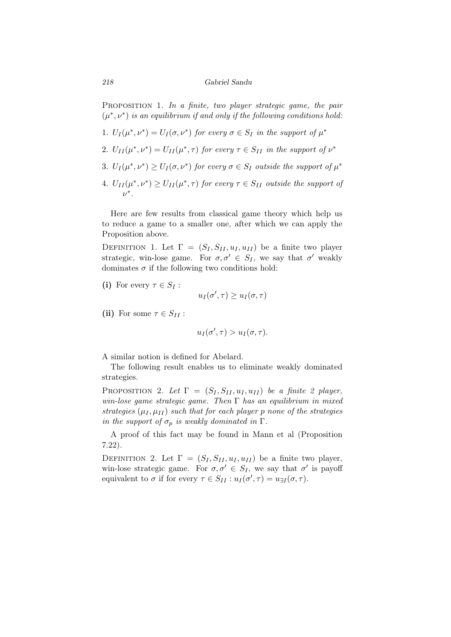Proposition 1. *In a finite, two player strategic game, the pair*  $(\mu^*, \nu^*)$  *is an equilibrium if and only if the following conditions hold:* 

- 1*.*  $U_I(\mu^*, \nu^*) = U_I(\sigma, \nu^*)$  for every  $\sigma \in S_I$  in the support of  $\mu^*$
- 2*.*  $U_{II}(\mu^*, \nu^*) = U_{II}(\mu^*, \tau)$  for every  $\tau \in S_{II}$  in the support of  $\nu^*$
- 3*.*  $U_I(\mu^*, \nu^*) \ge U_I(\sigma, \nu^*)$  for every  $\sigma \in S_I$  outside the support of  $\mu^*$
- 4*.*  $U_{II}(\mu^*, \nu^*) \ge U_{II}(\mu^*, \tau)$  for every  $\tau \in S_{II}$  outside the support of *ν ∗ .*

Here are few results from classical game theory which help us to reduce a game to a smaller one, after which we can apply the Proposition above.

DEFINITION 1. Let  $\Gamma = (S_I, S_{II}, u_I, u_{II})$  be a finite two player strategic, win-lose game. For  $\sigma, \sigma' \in S_I$ , we say that  $\sigma'$  weakly dominates  $\sigma$  if the following two conditions hold:

(i) For every  $\tau \in S_I$ :

$$
u_I(\sigma', \tau) \geq u_I(\sigma, \tau)
$$

(ii) For some  $\tau \in S_{II}$ :

$$
u_I(\sigma', \tau) > u_I(\sigma, \tau).
$$

A similar notion is defined for Abelard.

The following result enables us to eliminate weakly dominated strategies.

PROPOSITION 2. Let  $\Gamma = (S_I, S_{II}, u_I, u_{II})$  be a finite 2 player, *win-lose game strategic game. Then* Γ *has an equilibrium in mixed strategies*  $(\mu_I, \mu_{II})$  *such that for each player p none of the strategies in the support of*  $\sigma_p$  *is weakly dominated in* Γ*.* 

A proof of this fact may be found in Mann et al (Proposition 7.22).

DEFINITION 2. Let  $\Gamma = (S_I, S_{II}, u_I, u_{II})$  be a finite two player, win-lose strategic game. For  $\sigma, \sigma' \in S_I$ , we say that  $\sigma'$  is payoff equivalent to  $\sigma$  if for every  $\tau \in S_{II} : u_I(\sigma', \tau) = u_{\exists I}(\sigma, \tau)$ .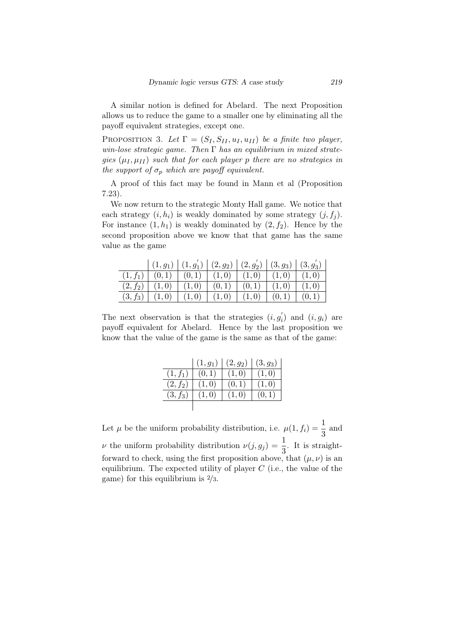A similar notion is defined for Abelard. The next Proposition allows us to reduce the game to a smaller one by eliminating all the payoff equivalent strategies, except one.

PROPOSITION 3. Let  $\Gamma = (S_I, S_{II}, u_I, u_{II})$  be a finite two player, *win-lose strategic game. Then* Γ *has an equilibrium in mixed strategies*  $(\mu_I, \mu_{II})$  *such that for each player p there are no strategies in the support of*  $\sigma_p$  *which are payoff equivalent.* 

A proof of this fact may be found in Mann et al (Proposition 7.23).

We now return to the strategic Monty Hall game. We notice that each strategy  $(i, h_i)$  is weakly dominated by some strategy  $(j, f_i)$ . For instance  $(1, h_1)$  is weakly dominated by  $(2, f_2)$ . Hence by the second proposition above we know that that game has the same value as the game

|            |       |        |                         |       |       | $(1, g_1)   (1, g'_1)   (2, g_2)   (2, g'_2)   (3, g_3)   (3, g'_3)$ |
|------------|-------|--------|-------------------------|-------|-------|----------------------------------------------------------------------|
| $(1, f_1)$ | (0,1) | (0, 1) | $(1,0)$ $(1,0)$ $(1,0)$ |       |       |                                                                      |
| $(2, f_2)$ | (1,0) |        | $(1,0)$ $(0,1)$         | (0,1) | (1,0) |                                                                      |
| $(3, f_3)$ | (1,0) | (1,0)  | (1,0)                   | (1,0) | (0,1) |                                                                      |

The next observation is that the strategies  $(i, g'_i)$  and  $(i, g_i)$  are payoff equivalent for Abelard. Hence by the last proposition we know that the value of the game is the same as that of the game:

|            | $(1, g_1)$ | $(2, g_2)$ | $(3, g_3)$ |
|------------|------------|------------|------------|
| $(1, f_1)$ | (0,1)      | (1,0)      | (1,0)      |
| $(2, f_2)$ | (1,0)      | (0,1)      | (1,0)      |
| $(3, f_3)$ | (1,0)      | (1,0)      | (0,1)      |
|            |            |            |            |

Let  $\mu$  be the uniform probability distribution, i.e.  $\mu(1, f_i) = \frac{1}{3}$  and *ν* the uniform probability distribution  $\nu(j, g_j) = \frac{1}{3}$ . It is straightforward to check, using the first proposition above, that  $(\mu, \nu)$  is an equilibrium. The expected utility of player *C* (i.e., the value of the game) for this equilibrium is 2*/*3*.*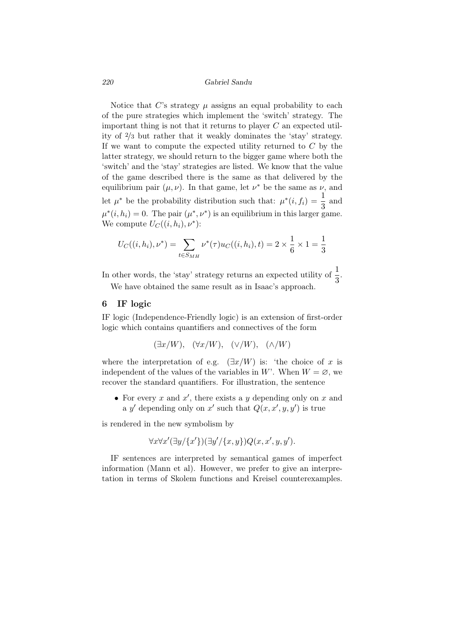Notice that  $C$ 's strategy  $\mu$  assigns an equal probability to each of the pure strategies which implement the 'switch' strategy. The important thing is not that it returns to player *C* an expected utility of 2*/*3 but rather that it weakly dominates the 'stay' strategy. If we want to compute the expected utility returned to *C* by the latter strategy, we should return to the bigger game where both the 'switch' and the 'stay' strategies are listed. We know that the value of the game described there is the same as that delivered by the equilibrium pair  $(\mu, \nu)$ . In that game, let  $\nu^*$  be the same as  $\nu$ , and let  $\mu^*$  be the probability distribution such that:  $\mu^*(i, f_i) = \frac{1}{3}$  and  $\mu^*(i, h_i) = 0$ . The pair  $(\mu^*, \nu^*)$  is an equilibrium in this larger game. We compute  $U_C((i, h_i), \nu^*)$ :

$$
U_C((i, h_i), \nu^*) = \sum_{t \in S_{MH}} \nu^*(\tau) u_C((i, h_i), t) = 2 \times \frac{1}{6} \times 1 = \frac{1}{3}
$$

In other words, the 'stay' strategy returns an expected utility of  $\frac{1}{3}$ . We have obtained the same result as in Isaac's approach.

# 6 IF logic

IF logic (Independence-Friendly logic) is an extension of first-order logic which contains quantifiers and connectives of the form

$$
(\exists x/W), \quad (\forall x/W), \quad (\vee/W), \quad (\wedge/W)
$$

where the interpretation of e.g.  $(\exists x/W)$  is: 'the choice of *x* is independent of the values of the variables in W'. When  $W = \varnothing$ , we recover the standard quantifiers. For illustration, the sentence

*•* For every *x* and *x ′* , there exists a *y* depending only on *x* and a *y'* depending only on *x'* such that  $Q(x, x', y, y')$  is true

is rendered in the new symbolism by

$$
\forall x \forall x' (\exists y/\{x'\}) (\exists y'/\{x,y\}) Q(x,x',y,y').
$$

IF sentences are interpreted by semantical games of imperfect information (Mann et al). However, we prefer to give an interpretation in terms of Skolem functions and Kreisel counterexamples.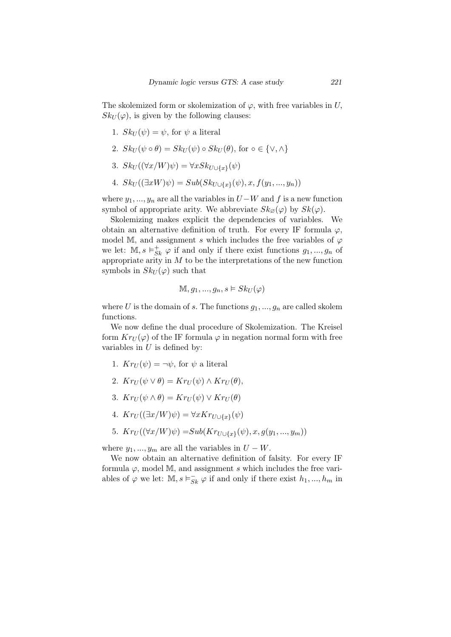The skolemized form or skolemization of  $\varphi$ , with free variables in *U*,  $SkU(\varphi)$ , is given by the following clauses:

- 1.  $Sk_U(\psi) = \psi$ , for  $\psi$  a literal
- 2.  $Sk_U(\psi \circ \theta) = Sk_U(\psi) \circ Sk_U(\theta)$ , for  $\circ \in \{\vee, \wedge\}$
- 3.  $Sk_U((\forall x/W)\psi) = \forall x Sk_{U \cup \{x\}}(\psi)$
- $4. \; Sk_U((\exists xW)\psi) = Sub(Sk_{U\cup\{x\}}(\psi), x, f(y_1, ..., y_n))$

where  $y_1, ..., y_n$  are all the variables in  $U-W$  and  $f$  is a new function symbol of appropriate arity. We abbreviate  $Sk_{\varnothing}(\varphi)$  by  $Sk(\varphi)$ .

Skolemizing makes explicit the dependencies of variables. We obtain an alternative definition of truth. For every IF formula  $\varphi$ , model M, and assignment *s* which includes the free variables of  $\varphi$ we let:  $\mathbb{M}, s \vDash^+_{Sk} \varphi$  if and only if there exist functions  $g_1, ..., g_n$  of appropriate arity in  $M$  to be the interpretations of the new function symbols in  $Sk_U(\varphi)$  such that

$$
\mathbb{M}, g_1, ..., g_n, s \in Sk_U(\varphi)
$$

where U is the domain of *s*. The functions  $g_1, ..., g_n$  are called skolem functions.

We now define the dual procedure of Skolemization. The Kreisel form  $Kr_U(\varphi)$  of the IF formula  $\varphi$  in negation normal form with free variables in *U* is defined by:

- 1.  $Kr_U(\psi) = \neg \psi$ , for  $\psi$  a literal
- 2.  $Kr_U(\psi \vee \theta) = Kr_U(\psi) \wedge Kr_U(\theta).$
- 3.  $Kr_U(\psi \wedge \theta) = Kr_U(\psi) \vee Kr_U(\theta)$
- 4. *Kr<sup>U</sup>* ((*∃x/W*)*ψ*) = *∀xKrU∪{x}* (*ψ*)
- 5.  $Kr_U((\forall x/W)\psi) = Sub(Kr_{U\cup\{x\}}(\psi), x, g(y_1, ..., y_m))$

where  $y_1, ..., y_m$  are all the variables in  $U - W$ .

We now obtain an alternative definition of falsity. For every IF formula  $\varphi$ , model M, and assignment *s* which includes the free variables of  $\varphi$  we let:  $\mathbb{M}, s \vDash_{Sk}^{-} \varphi$  if and only if there exist  $h_1, ..., h_m$  in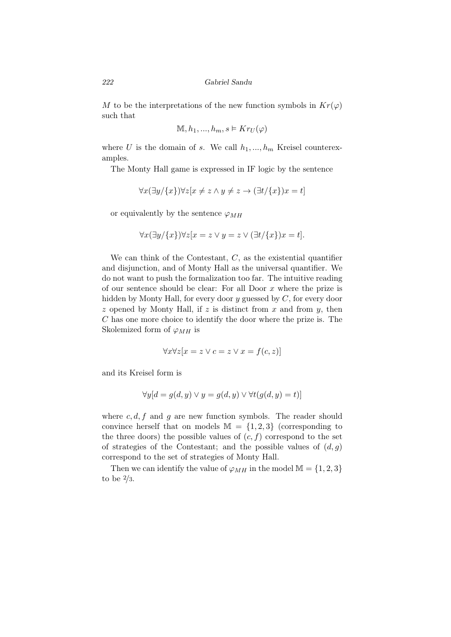*M* to be the interpretations of the new function symbols in  $Kr(\varphi)$ such that

$$
\mathbb{M}, h_1, ..., h_m, s \vDash Kr_U(\varphi)
$$

where *U* is the domain of *s*. We call  $h_1, ..., h_m$  Kreisel counterexamples.

The Monty Hall game is expressed in IF logic by the sentence

$$
\forall x(\exists y/\{x\}) \forall z[x \neq z \land y \neq z \rightarrow (\exists t/\{x\})x = t]
$$

or equivalently by the sentence  $\varphi_{MH}$ 

$$
\forall x (\exists y/\{x\}) \forall z [x = z \lor y = z \lor (\exists t/\{x\}) x = t].
$$

We can think of the Contestant, *C*, as the existential quantifier and disjunction, and of Monty Hall as the universal quantifier. We do not want to push the formalization too far. The intuitive reading of our sentence should be clear: For all Door *x* where the prize is hidden by Monty Hall, for every door *y* guessed by *C*, for every door *z* opened by Monty Hall, if *z* is distinct from *x* and from *y*, then *C* has one more choice to identify the door where the prize is. The Skolemized form of  $\varphi_{MH}$  is

$$
\forall x \forall z [x = z \lor c = z \lor x = f(c, z)]
$$

and its Kreisel form is

$$
\forall y[d = g(d, y) \lor y = g(d, y) \lor \forall t(g(d, y) = t)]
$$

where *c, d, f* and *g* are new function symbols. The reader should convince herself that on models  $\mathbb{M} = \{1, 2, 3\}$  (corresponding to the three doors) the possible values of  $(c, f)$  correspond to the set of strategies of the Contestant; and the possible values of  $(d, g)$ correspond to the set of strategies of Monty Hall.

Then we can identify the value of  $\varphi_{MH}$  in the model  $\mathbb{M} = \{1, 2, 3\}$ to be 2*/*3.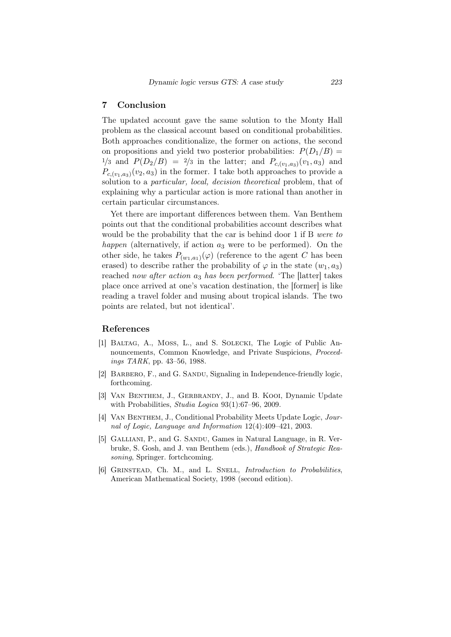# 7 Conclusion

The updated account gave the same solution to the Monty Hall problem as the classical account based on conditional probabilities. Both approaches conditionalize, the former on actions, the second on propositions and yield two posterior probabilities:  $P(D_1/B)$  =  $P(D_2/B) = \frac{2}{3}$  in the latter; and  $P_{c,(v_1,a_3)}(v_1,a_3)$  and  $P_{c,(v_1,a_3)}(v_2,a_3)$  in the former. I take both approaches to provide a solution to a *particular, local, decision theoretical* problem, that of explaining why a particular action is more rational than another in certain particular circumstances.

Yet there are important differences between them. Van Benthem points out that the conditional probabilities account describes what would be the probability that the car is behind door 1 if B *were to happen* (alternatively, if action *a*<sup>3</sup> were to be performed). On the other side, he takes  $P_{(w_1, a_1)}(\varphi)$  (reference to the agent *C* has been erased) to describe rather the probability of  $\varphi$  in the state  $(w_1, a_3)$ reached *now after action a*<sup>3</sup> *has been performed*. 'The [latter] takes place once arrived at one's vacation destination, the [former] is like reading a travel folder and musing about tropical islands. The two points are related, but not identical'.

#### References

- [1] Baltag, A., Moss, L., and S. Solecki, The Logic of Public Announcements, Common Knowledge, and Private Suspicions, *Proceedings TARK*, pp. 43–56, 1988.
- [2] BARBERO, F., and G. SANDU, Signaling in Independence-friendly logic, forthcoming.
- [3] VAN BENTHEM, J., GERBRANDY, J., and B. KOOI, Dynamic Update with Probabilities, *Studia Logica* 93(1):67–96, 2009.
- [4] VAN BENTHEM, J., Conditional Probability Meets Update Logic, *Journal of Logic, Language and Information* 12(4):409–421, 2003.
- [5] GALLIANI, P., and G. SANDU, Games in Natural Language, in R. Verbruke, S. Gosh, and J. van Benthem (eds.), *Handbook of Strategic Reasoning*, Springer. fortchcoming.
- [6] Grinstead, Ch. M., and L. Snell, *Introduction to Probabilities*, American Mathematical Society, 1998 (second edition).